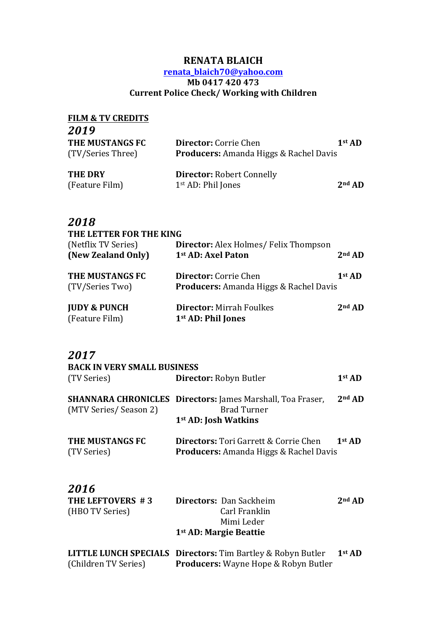#### **RENATA BLAICH**

#### **renata\_blaich70@yahoo.com Mb 0417 420 473 Current Police Check/ Working with Children**

| <b>FILM &amp; TV CREDITS</b>         |                                                                               |          |
|--------------------------------------|-------------------------------------------------------------------------------|----------|
| 2019                                 |                                                                               |          |
| THE MUSTANGS FC<br>(TV/Series Three) | <b>Director:</b> Corrie Chen<br><b>Producers:</b> Amanda Higgs & Rachel Davis | $1st$ AD |
| <b>THE DRY</b><br>(Feature Film)     | <b>Director: Robert Connelly</b><br>1 <sup>st</sup> AD: Phil Jones            | $2nd$ AD |

### *2018*

| THE LETTER FOR THE KING |                                               |                    |
|-------------------------|-----------------------------------------------|--------------------|
| (Netflix TV Series)     | <b>Director:</b> Alex Holmes/ Felix Thompson  |                    |
| (New Zealand Only)      | 1st AD: Axel Paton                            | $2nd$ AD           |
| THE MUSTANGS FC         | <b>Director:</b> Corrie Chen                  | 1 <sup>st</sup> AD |
| (TV/Series Two)         | <b>Producers:</b> Amanda Higgs & Rachel Davis |                    |
| <b>JUDY &amp; PUNCH</b> | <b>Director: Mirrah Foulkes</b>               | $2nd$ AD           |
| (Feature Film)          | 1 <sup>st</sup> AD: Phil Jones                |                    |

#### *2017*

| <b>BACK IN VERY SMALL BUSINESS</b> |                                                                                                                             |          |  |
|------------------------------------|-----------------------------------------------------------------------------------------------------------------------------|----------|--|
| (TV Series)                        | <b>Director:</b> Robyn Butler                                                                                               | $1st$ AD |  |
| (MTV Series/Season 2)              | <b>SHANNARA CHRONICLES Directors:</b> James Marshall, Toa Fraser,<br><b>Brad Turner</b><br>1 <sup>st</sup> AD: Josh Watkins | $2nd$ AD |  |
| THE MUSTANGS FC<br>(TV Series)     | <b>Directors:</b> Tori Garrett & Corrie Chen<br>$1st$ AD<br><b>Producers:</b> Amanda Higgs & Rachel Davis                   |          |  |

## *2016*

| THE LEFTOVERS #3 | <b>Directors: Dan Sackheim</b>                                         | $2nd$ AD |
|------------------|------------------------------------------------------------------------|----------|
| (HBO TV Series)  | Carl Franklin                                                          |          |
|                  | Mimi Leder                                                             |          |
|                  | 1 <sup>st</sup> AD: Margie Beattie                                     |          |
|                  | <b>LITTLE LUNCH SPECIALS Directors: Tim Bartley &amp; Robyn Butler</b> | $1st$ AD |

(Children TV Series) **Producers:** Wayne Hope & Robyn Butler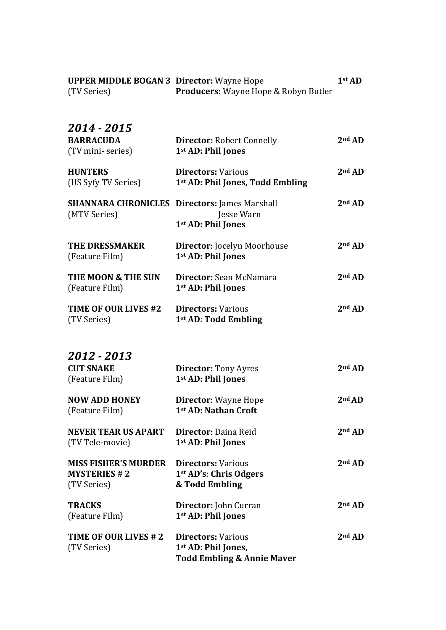| 2014 - 2015<br><b>BARRACUDA</b><br>(TV mini-series)               | <b>Director: Robert Connelly</b><br>1 <sup>st</sup> AD: Phil Jones                                   | $2nd$ AD           |
|-------------------------------------------------------------------|------------------------------------------------------------------------------------------------------|--------------------|
| <b>HUNTERS</b><br>(US Syfy TV Series)                             | <b>Directors: Various</b><br>1st AD: Phil Jones, Todd Embling                                        | 2 <sup>nd</sup> AD |
| (MTV Series)                                                      | <b>SHANNARA CHRONICLES Directors: James Marshall</b><br>Jesse Warn<br>1 <sup>st</sup> AD: Phil Jones | $2nd$ AD           |
| <b>THE DRESSMAKER</b><br>(Feature Film)                           | <b>Director: Jocelyn Moorhouse</b><br>1 <sup>st</sup> AD: Phil Jones                                 | $2nd$ AD           |
| THE MOON & THE SUN<br>(Feature Film)                              | Director: Sean McNamara<br>1 <sup>st</sup> AD: Phil Jones                                            | $2nd$ AD           |
| TIME OF OUR LIVES #2<br>(TV Series)                               | <b>Directors: Various</b><br>1 <sup>st</sup> AD: Todd Embling                                        | $2nd$ AD           |
| 2012 - 2013                                                       |                                                                                                      |                    |
| <b>CUT SNAKE</b><br>(Feature Film)                                | <b>Director:</b> Tony Ayres<br>1 <sup>st</sup> AD: Phil Jones                                        | $2nd$ AD           |
| <b>NOW ADD HONEY</b><br>(Feature Film)                            | Director: Wayne Hope<br>1st AD: Nathan Croft                                                         | 2 <sup>nd</sup> AD |
| NEVER TEAR US APART<br>(TV Tele-movie)                            | <b>Director</b> : Daina Reid<br>1 <sup>st</sup> AD: Phil Jones                                       | $2nd$ AD           |
| <b>MISS FISHER'S MURDER</b><br><b>MYSTERIES #2</b><br>(TV Series) | <b>Directors: Various</b><br>1 <sup>st</sup> AD's: Chris Odgers<br>& Todd Embling                    | 2nd AD             |
| <b>TRACKS</b><br>(Feature Film)                                   | Director: John Curran<br>1 <sup>st</sup> AD: Phil Jones                                              | 2nd AD             |
| TIME OF OUR LIVES # 2<br>(TV Series)                              | <b>Directors: Various</b><br>1st AD: Phil Jones,<br><b>Todd Embling &amp; Annie Maver</b>            | $2nd$ AD           |

**UPPER MIDDLE BOGAN 3 Director:** Wayne Hope **1st** AD

(TV Series) **Producers:** Wayne Hope & Robyn Butler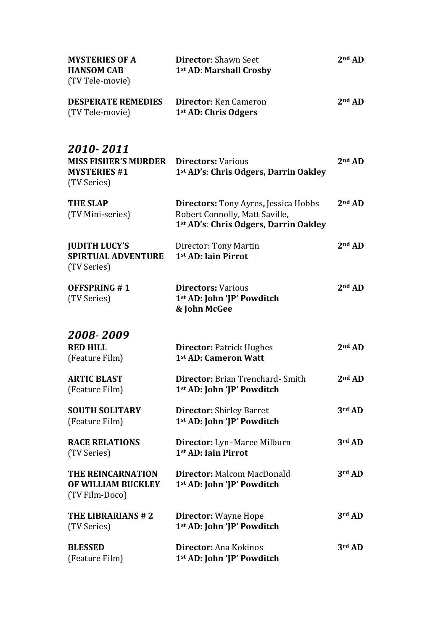| <b>MYSTERIES OF A</b><br><b>HANSOM CAB</b><br>(TV Tele-movie)                  | <b>Director: Shawn Seet</b><br>1st AD: Marshall Crosby                                                                             | 2 <sup>nd</sup> AD |
|--------------------------------------------------------------------------------|------------------------------------------------------------------------------------------------------------------------------------|--------------------|
| <b>DESPERATE REMEDIES</b><br>(TV Tele-movie)                                   | Director: Ken Cameron<br>1 <sup>st</sup> AD: Chris Odgers                                                                          | $2nd$ AD           |
| 2010-2011<br><b>MISS FISHER'S MURDER</b><br><b>MYSTERIES #1</b><br>(TV Series) | <b>Directors: Various</b><br>1st AD's: Chris Odgers, Darrin Oakley                                                                 | $2nd$ AD           |
| <b>THE SLAP</b><br>(TV Mini-series)                                            | <b>Directors:</b> Tony Ayres, Jessica Hobbs<br>Robert Connolly, Matt Saville,<br>1 <sup>st</sup> AD's: Chris Odgers, Darrin Oakley | $2nd$ AD           |
| <b>JUDITH LUCY'S</b><br><b>SPIRTUAL ADVENTURE</b><br>(TV Series)               | Director: Tony Martin<br>1st AD: Iain Pirrot                                                                                       | $2nd$ AD           |
| <b>OFFSPRING #1</b><br>(TV Series)                                             | <b>Directors: Various</b><br>1 <sup>st</sup> AD: John 'JP' Powditch<br>& John McGee                                                | $2nd$ AD           |
| 2008-2009                                                                      |                                                                                                                                    |                    |
| <b>RED HILL</b><br>(Feature Film)                                              | <b>Director: Patrick Hughes</b><br>1st AD: Cameron Watt                                                                            | $2nd$ AD           |
| <b>ARTIC BLAST</b><br>(Feature Film)                                           | <b>Director:</b> Brian Trenchard- Smith<br>1st AD: John 'JP' Powditch                                                              | 2nd AD             |
| <b>SOUTH SOLITARY</b><br>(Feature Film)                                        | <b>Director:</b> Shirley Barret<br>1 <sup>st</sup> AD: John 'JP' Powditch                                                          | 3rd AD             |
| <b>RACE RELATIONS</b><br>(TV Series)                                           | Director: Lyn-Maree Milburn<br>1st AD: Iain Pirrot                                                                                 | 3rd AD             |
| THE REINCARNATION<br>OF WILLIAM BUCKLEY<br>(TV Film-Doco)                      | <b>Director: Malcom MacDonald</b><br>1 <sup>st</sup> AD: John 'JP' Powditch                                                        | 3rd AD             |
| THE LIBRARIANS #2<br>(TV Series)                                               | <b>Director:</b> Wayne Hope<br>1 <sup>st</sup> AD: John 'JP' Powditch                                                              | 3rd AD             |
| <b>BLESSED</b><br>(Feature Film)                                               | Director: Ana Kokinos<br>1st AD: John 'JP' Powditch                                                                                | 3rd AD             |